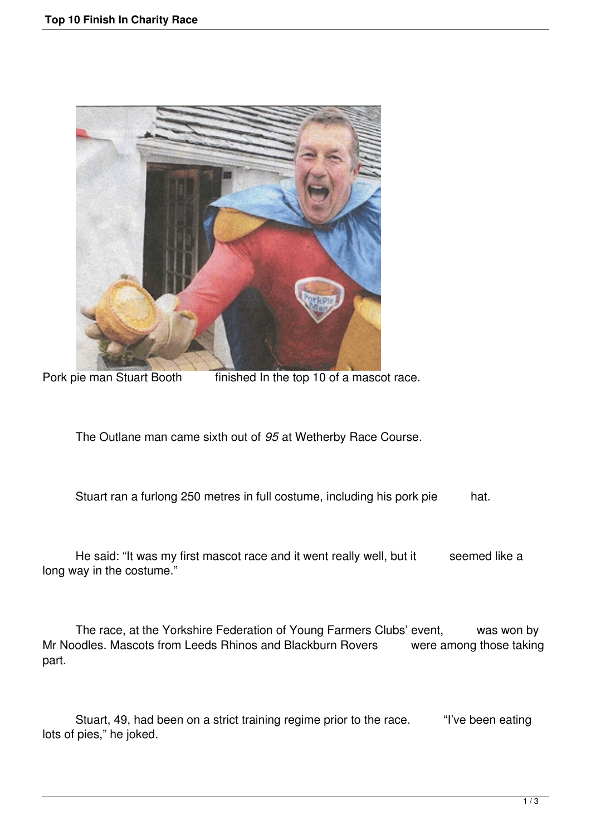

Pork pie man Stuart Booth finished In the top 10 of a mascot race.

The Outlane man came sixth out of *95* at Wetherby Race Course.

Stuart ran a furlong 250 metres in full costume, including his pork pie hat.

He said: "It was my first mascot race and it went really well, but it seemed like a long way in the costume."

 The race, at the Yorkshire Federation of Young Farmers Clubs' event, was won by Mr Noodles. Mascots from Leeds Rhinos and Blackburn Rovers were among those taking part.

 Stuart, 49, had been on a strict training regime prior to the race. "I've been eating lots of pies," he joked.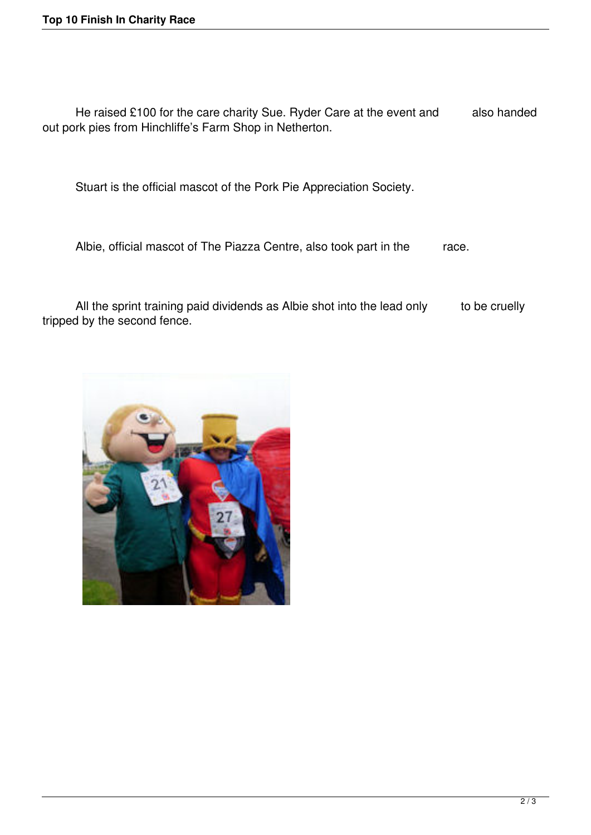He raised £100 for the care charity Sue. Ryder Care at the event and also handed out pork pies from Hinchliffe's Farm Shop in Netherton.

Stuart is the official mascot of the Pork Pie Appreciation Society.

Albie, official mascot of The Piazza Centre, also took part in the race.

All the sprint training paid dividends as Albie shot into the lead only to be cruelly tripped by the second fence.